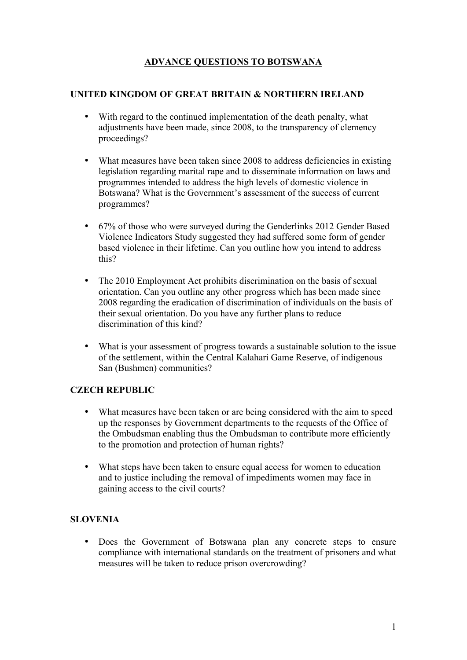# **ADVANCE QUESTIONS TO BOTSWANA**

## **UNITED KINGDOM OF GREAT BRITAIN & NORTHERN IRELAND**

- With regard to the continued implementation of the death penalty, what adjustments have been made, since 2008, to the transparency of clemency proceedings?
- What measures have been taken since 2008 to address deficiencies in existing legislation regarding marital rape and to disseminate information on laws and programmes intended to address the high levels of domestic violence in Botswana? What is the Government's assessment of the success of current programmes?
- 67% of those who were surveyed during the Genderlinks 2012 Gender Based Violence Indicators Study suggested they had suffered some form of gender based violence in their lifetime. Can you outline how you intend to address this?
- The 2010 Employment Act prohibits discrimination on the basis of sexual orientation. Can you outline any other progress which has been made since 2008 regarding the eradication of discrimination of individuals on the basis of their sexual orientation. Do you have any further plans to reduce discrimination of this kind?
- What is your assessment of progress towards a sustainable solution to the issue of the settlement, within the Central Kalahari Game Reserve, of indigenous San (Bushmen) communities?

## **CZECH REPUBLIC**

- What measures have been taken or are being considered with the aim to speed up the responses by Government departments to the requests of the Office of the Ombudsman enabling thus the Ombudsman to contribute more efficiently to the promotion and protection of human rights?
- What steps have been taken to ensure equal access for women to education and to justice including the removal of impediments women may face in gaining access to the civil courts?

# **SLOVENIA**

• Does the Government of Botswana plan any concrete steps to ensure compliance with international standards on the treatment of prisoners and what measures will be taken to reduce prison overcrowding?